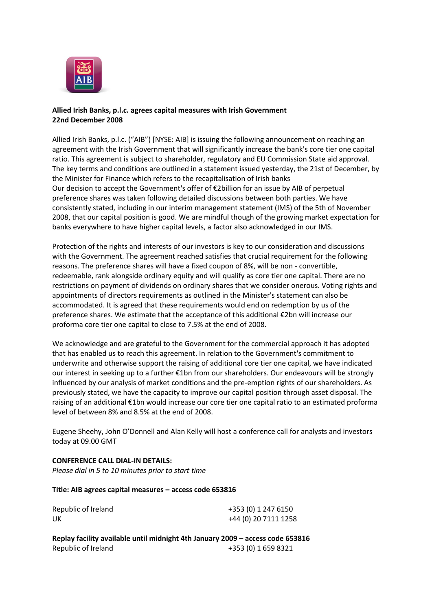

## **Allied Irish Banks, p.l.c. agrees capital measures with Irish Government 22nd December 2008**

Allied Irish Banks, p.l.c. ("AIB") [NYSE: AIB] is issuing the following announcement on reaching an agreement with the Irish Government that will significantly increase the bank's core tier one capital ratio. This agreement is subject to shareholder, regulatory and EU Commission State aid approval. The key terms and conditions are outlined in a statement issued yesterday, the 21st of December, by the Minister for Finance which refers to the recapitalisation of Irish banks Our decision to accept the Government's offer of €2billion for an issue by AIB of perpetual preference shares was taken following detailed discussions between both parties. We have consistently stated, including in our interim management statement (IMS) of the 5th of November 2008, that our capital position is good. We are mindful though of the growing market expectation for banks everywhere to have higher capital levels, a factor also acknowledged in our IMS.

Protection of the rights and interests of our investors is key to our consideration and discussions with the Government. The agreement reached satisfies that crucial requirement for the following reasons. The preference shares will have a fixed coupon of 8%, will be non - convertible, redeemable, rank alongside ordinary equity and will qualify as core tier one capital. There are no restrictions on payment of dividends on ordinary shares that we consider onerous. Voting rights and appointments of directors requirements as outlined in the Minister's statement can also be accommodated. It is agreed that these requirements would end on redemption by us of the preference shares. We estimate that the acceptance of this additional €2bn will increase our proforma core tier one capital to close to 7.5% at the end of 2008.

We acknowledge and are grateful to the Government for the commercial approach it has adopted that has enabled us to reach this agreement. In relation to the Government's commitment to underwrite and otherwise support the raising of additional core tier one capital, we have indicated our interest in seeking up to a further €1bn from our shareholders. Our endeavours will be strongly influenced by our analysis of market conditions and the pre-emption rights of our shareholders. As previously stated, we have the capacity to improve our capital position through asset disposal. The raising of an additional €1bn would increase our core tier one capital ratio to an estimated proforma level of between 8% and 8.5% at the end of 2008.

Eugene Sheehy, John O'Donnell and Alan Kelly will host a conference call for analysts and investors today at 09.00 GMT

## **CONFERENCE CALL DIAL-IN DETAILS:** *Please dial in 5 to 10 minutes prior to start time*

## **Title: AIB agrees capital measures – access code 653816**

| Republic of Ireland | +353 (0) 1 247 6150  |
|---------------------|----------------------|
| UK                  | +44 (0) 20 7111 1258 |

**Replay facility available until midnight 4th January 2009 – access code 653816** Republic of Ireland +353 (0) 1 659 8321